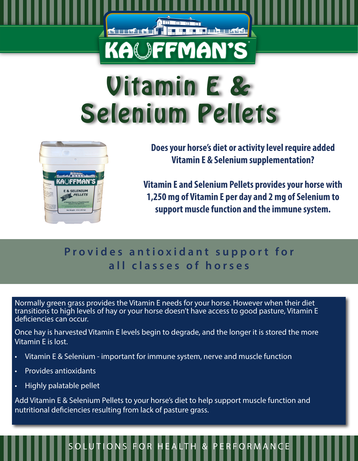# Vitamin E & Selenium Pellets

<u>Album man</u>

**KAOFFMAN'S** 

<del>d rod</del>ii

**ELECTED HOMES** 



**Does your horse's diet or activity level require added Vitamin E & Selenium supplementation?**

**Vitamin E and Selenium Pellets provides your horse with 1,250 mg of Vitamin E per day and 2 mg of Selenium to support muscle function and the immune system.** 

### Provides antioxidant support for **all classes of horses**

Normally green grass provides the Vitamin E needs for your horse. However when their diet transitions to high levels of hay or your horse doesn't have access to good pasture, Vitamin E deficiencies can occur.

Once hay is harvested Vitamin E levels begin to degrade, and the longer it is stored the more Vitamin E is lost.

- Vitamin E & Selenium important for immune system, nerve and muscle function
- Provides antioxidants
- Highly palatable pellet

Add Vitamin E & Selenium Pellets to your horse's diet to help support muscle function and nutritional deficiencies resulting from lack of pasture grass.

## SOLUTIONS FOR HEALTH & PERFORMANCE